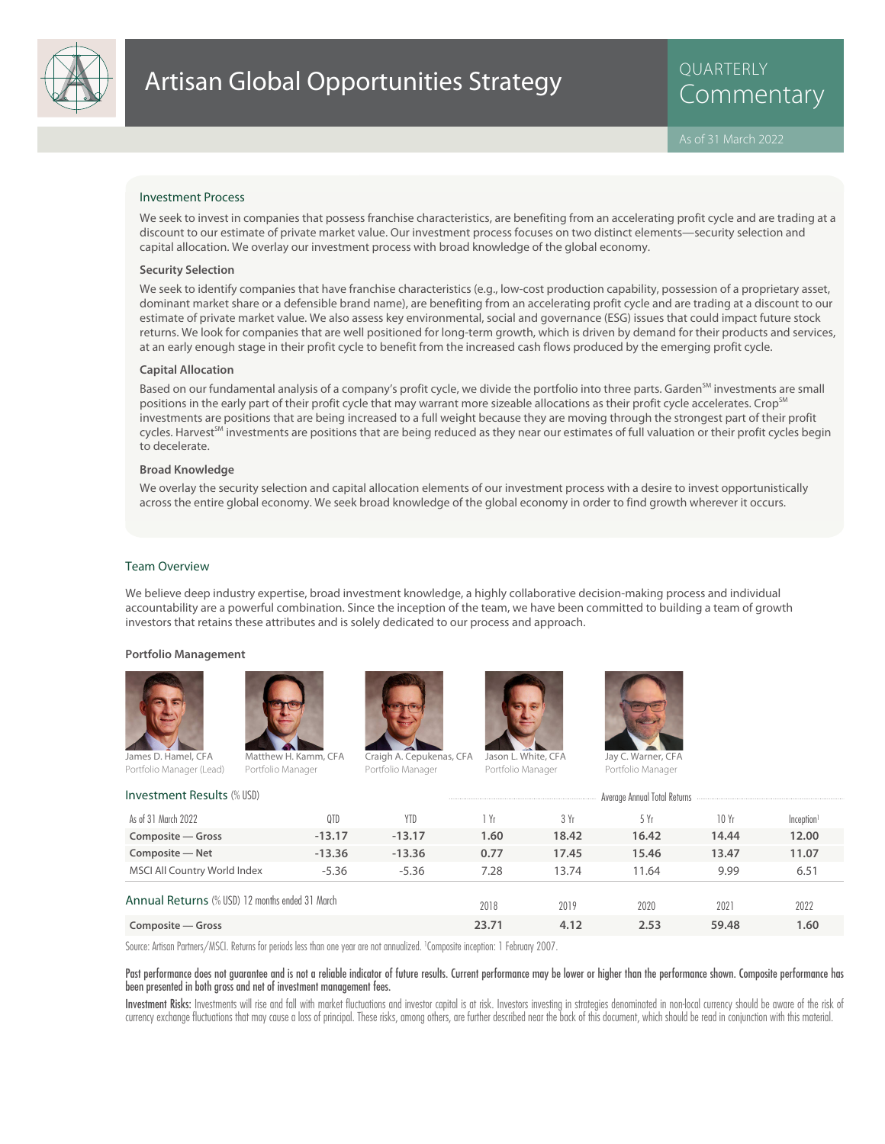

QUARTERLY

#### Investment Process

We seek to invest in companies that possess franchise characteristics, are benefiting from an accelerating profit cycle and are trading at a discount to our estimate of private market value. Our investment process focuses on two distinct elements—security selection and capital allocation. We overlay our investment process with broad knowledge of the global economy.

#### **Security Selection**

We seek to identify companies that have franchise characteristics (e.g., low-cost production capability, possession of a proprietary asset, dominant market share or a defensible brand name), are benefiting from an accelerating profit cycle and are trading at a discount to our estimate of private market value. We also assess key environmental, social and governance (ESG) issues that could impact future stock returns. We look for companies that are well positioned for long-term growth, which is driven by demand for their products and services, at an early enough stage in their profit cycle to benefit from the increased cash flows produced by the emerging profit cycle.

#### **Capital Allocation**

Based on our fundamental analysis of a company's profit cycle, we divide the portfolio into three parts. Garden<sup>SM</sup> investments are small positions in the early part of their profit cycle that may warrant more sizeable allocations as their profit cycle accelerates. Crop<sup>5M</sup> investments are positions that are being increased to a full weight because they are moving through the strongest part of their profit cycles. Harvest<sup>SM</sup> investments are positions that are being reduced as they near our estimates of full valuation or their profit cycles begin to decelerate.

### **Broad Knowledge**

We overlay the security selection and capital allocation elements of our investment process with a desire to invest opportunistically across the entire global economy. We seek broad knowledge of the global economy in order to find growth wherever it occurs.

#### Team Overview

We believe deep industry expertise, broad investment knowledge, a highly collaborative decision-making process and individual accountability are a powerful combination. Since the inception of the team, we have been committed to building a team of growth investors that retains these attributes and is solely dedicated to our process and approach.

#### **Portfolio Management**





Portfolio Manager



Portfolio Manager

Jason L. White, CFA

Portfolio Manager



Portfolio Manager

| <b>Investment Results (% USD)</b>                      | Average Annual Total Returns |          |       |       |       |       |                        |
|--------------------------------------------------------|------------------------------|----------|-------|-------|-------|-------|------------------------|
| As of 31 March 2022                                    | 0TD                          | YTD      | 1 Yr  | 3 Yr  | 5 Yr  | 10Yr  | Inception <sup>1</sup> |
| Composite – Gross                                      | $-13.17$                     | $-13.17$ | 1.60  | 18.42 | 16.42 | 14.44 | 12.00                  |
| Composite - Net                                        | $-13.36$                     | $-13.36$ | 0.77  | 17.45 | 15.46 | 13.47 | 11.07                  |
| MSCI All Country World Index                           | $-5.36$                      | $-5.36$  | 7.28  | 13.74 | 11.64 | 9.99  | 6.51                   |
| <b>Annual Returns</b> (% USD) 12 months ended 31 March |                              |          | 2018  | 2019  | 2020  | 2021  | 2022                   |
| Composite - Gross                                      |                              |          | 23.71 | 4.12  | 2.53  | 59.48 | 1.60                   |

Source: Artisan Partners/MSCI. Returns for periods less than one year are not annualized. <sup>1</sup> Composite inception: 1 February 2007.

Past performance does not guarantee and is not a reliable indicator of future results. Current performance may be lower or higher than the performance shown. Composite performance has been presented in both gross and net of investment management fees.

Investment Risks: Investments will rise and fall with market fluctuations and investor capital is at risk. Investors investing in strategies denominated in non-local currency should be aware of the risk of currency exchange fluctuations that may cause a loss of principal. These risks, among others, are further described near the back of this document, which should be read in conjunction with this material.

Portfolio Manager (Lead)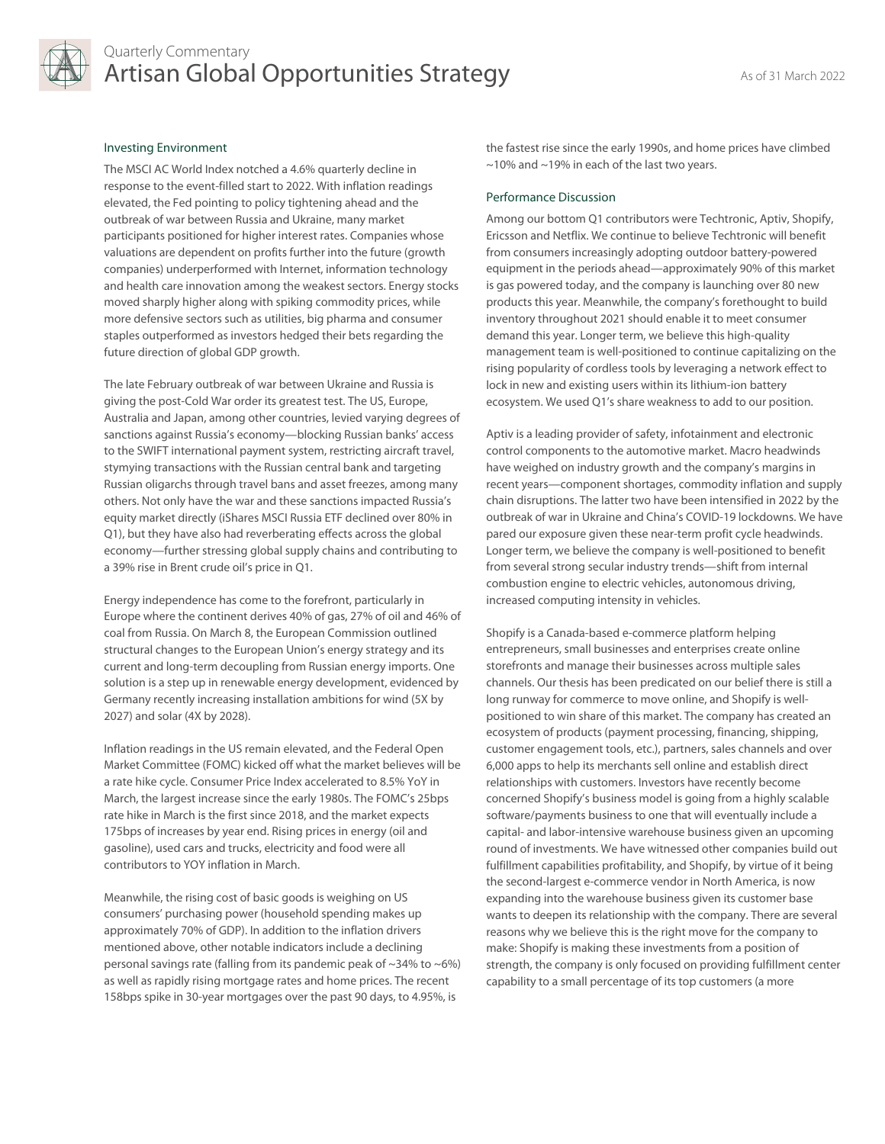

# Quarterly Commentary Artisan Global Opportunities Strategy As of 31 March 2022

# Investing Environment

The MSCI AC World Index notched a 4.6% quarterly decline in response to the event-filled start to 2022. With inflation readings elevated, the Fed pointing to policy tightening ahead and the outbreak of war between Russia and Ukraine, many market participants positioned for higher interest rates. Companies whose valuations are dependent on profits further into the future (growth companies) underperformed with Internet, information technology and health care innovation among the weakest sectors. Energy stocks moved sharply higher along with spiking commodity prices, while more defensive sectors such as utilities, big pharma and consumer staples outperformed as investors hedged their bets regarding the future direction of global GDP growth.

The late February outbreak of war between Ukraine and Russia is giving the post-Cold War order its greatest test. The US, Europe, Australia and Japan, among other countries, levied varying degrees of sanctions against Russia's economy—blocking Russian banks' access to the SWIFT international payment system, restricting aircraft travel, stymying transactions with the Russian central bank and targeting Russian oligarchs through travel bans and asset freezes, among many others. Not only have the war and these sanctions impacted Russia's equity market directly (iShares MSCI Russia ETF declined over 80% in Q1), but they have also had reverberating effects across the global economy—further stressing global supply chains and contributing to a 39% rise in Brent crude oil's price in Q1.

Energy independence has come to the forefront, particularly in Europe where the continent derives 40% of gas, 27% of oil and 46% of coal from Russia. On March 8, the European Commission outlined structural changes to the European Union's energy strategy and its current and long-term decoupling from Russian energy imports. One solution is a step up in renewable energy development, evidenced by Germany recently increasing installation ambitions for wind (5X by 2027) and solar (4X by 2028).

Inflation readings in the US remain elevated, and the Federal Open Market Committee (FOMC) kicked off what the market believes will be a rate hike cycle. Consumer Price Index accelerated to 8.5% YoY in March, the largest increase since the early 1980s. The FOMC's 25bps rate hike in March is the first since 2018, and the market expects 175bps of increases by year end. Rising prices in energy (oil and gasoline), used cars and trucks, electricity and food were all contributors to YOY inflation in March.

Meanwhile, the rising cost of basic goods is weighing on US consumers' purchasing power (household spending makes up approximately 70% of GDP). In addition to the inflation drivers mentioned above, other notable indicators include a declining personal savings rate (falling from its pandemic peak of  $\sim$ 34% to  $\sim$ 6%) as well as rapidly rising mortgage rates and home prices. The recent 158bps spike in 30-year mortgages over the past 90 days, to 4.95%, is

the fastest rise since the early 1990s, and home prices have climbed ~10% and ~19% in each of the last two years.

#### Performance Discussion

Among our bottom Q1 contributors were Techtronic, Aptiv, Shopify, Ericsson and Netflix. We continue to believe Techtronic will benefit from consumers increasingly adopting outdoor battery-powered equipment in the periods ahead—approximately 90% of this market is gas powered today, and the company is launching over 80 new products this year. Meanwhile, the company's forethought to build inventory throughout 2021 should enable it to meet consumer demand this year. Longer term, we believe this high-quality management team is well-positioned to continue capitalizing on the rising popularity of cordless tools by leveraging a network effect to lock in new and existing users within its lithium-ion battery ecosystem. We used Q1's share weakness to add to our position.

Aptiv is a leading provider of safety, infotainment and electronic control components to the automotive market. Macro headwinds have weighed on industry growth and the company's margins in recent years—component shortages, commodity inflation and supply chain disruptions. The latter two have been intensified in 2022 by the outbreak of war in Ukraine and China's COVID-19 lockdowns. We have pared our exposure given these near-term profit cycle headwinds. Longer term, we believe the company is well-positioned to benefit from several strong secular industry trends—shift from internal combustion engine to electric vehicles, autonomous driving, increased computing intensity in vehicles.

Shopify is a Canada-based e-commerce platform helping entrepreneurs, small businesses and enterprises create online storefronts and manage their businesses across multiple sales channels. Our thesis has been predicated on our belief there is still a long runway for commerce to move online, and Shopify is wellpositioned to win share of this market. The company has created an ecosystem of products (payment processing, financing, shipping, customer engagement tools, etc.), partners, sales channels and over 6,000 apps to help its merchants sell online and establish direct relationships with customers. Investors have recently become concerned Shopify's business model is going from a highly scalable software/payments business to one that will eventually include a capital- and labor-intensive warehouse business given an upcoming round of investments. We have witnessed other companies build out fulfillment capabilities profitability, and Shopify, by virtue of it being the second-largest e-commerce vendor in North America, is now expanding into the warehouse business given its customer base wants to deepen its relationship with the company. There are several reasons why we believe this is the right move for the company to make: Shopify is making these investments from a position of strength, the company is only focused on providing fulfillment center capability to a small percentage of its top customers (a more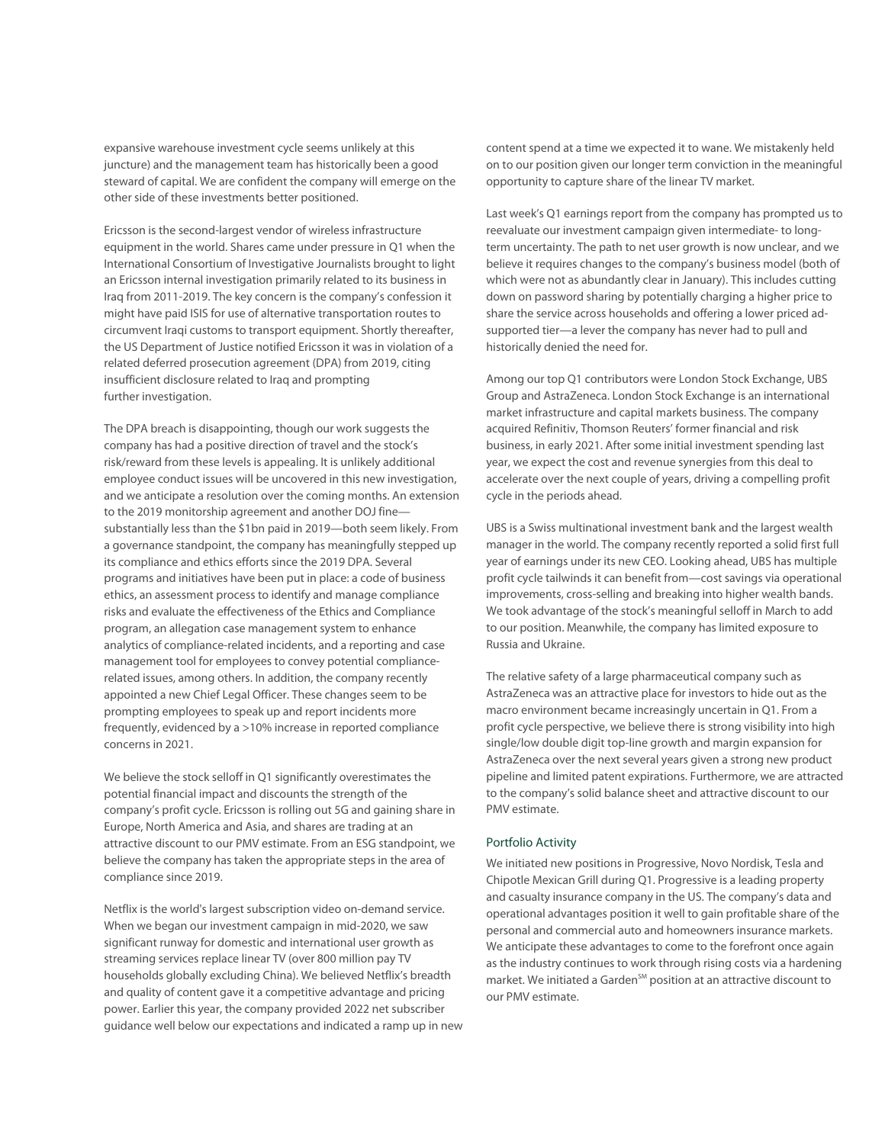expansive warehouse investment cycle seems unlikely at this juncture) and the management team has historically been a good steward of capital. We are confident the company will emerge on the other side of these investments better positioned.

Ericsson is the second-largest vendor of wireless infrastructure equipment in the world. Shares came under pressure in Q1 when the International Consortium of Investigative Journalists brought to light an Ericsson internal investigation primarily related to its business in Iraq from 2011-2019. The key concern is the company's confession it might have paid ISIS for use of alternative transportation routes to circumvent Iraqi customs to transport equipment. Shortly thereafter, the US Department of Justice notified Ericsson it was in violation of a related deferred prosecution agreement (DPA) from 2019, citing insufficient disclosure related to Iraq and prompting further investigation.

The DPA breach is disappointing, though our work suggests the company has had a positive direction of travel and the stock's risk/reward from these levels is appealing. It is unlikely additional employee conduct issues will be uncovered in this new investigation, and we anticipate a resolution over the coming months. An extension to the 2019 monitorship agreement and another DOJ fine substantially less than the \$1bn paid in 2019—both seem likely. From a governance standpoint, the company has meaningfully stepped up its compliance and ethics efforts since the 2019 DPA. Several programs and initiatives have been put in place: a code of business ethics, an assessment process to identify and manage compliance risks and evaluate the effectiveness of the Ethics and Compliance program, an allegation case management system to enhance analytics of compliance-related incidents, and a reporting and case management tool for employees to convey potential compliancerelated issues, among others. In addition, the company recently appointed a new Chief Legal Officer. These changes seem to be prompting employees to speak up and report incidents more frequently, evidenced by a >10% increase in reported compliance concerns in 2021.

We believe the stock selloff in Q1 significantly overestimates the potential financial impact and discounts the strength of the company's profit cycle. Ericsson is rolling out 5G and gaining share in Europe, North America and Asia, and shares are trading at an attractive discount to our PMV estimate. From an ESG standpoint, we believe the company has taken the appropriate steps in the area of compliance since 2019.

Netflix is the world's largest subscription video on-demand service. When we began our investment campaign in mid-2020, we saw significant runway for domestic and international user growth as streaming services replace linear TV (over 800 million pay TV households globally excluding China). We believed Netflix's breadth and quality of content gave it a competitive advantage and pricing power. Earlier this year, the company provided 2022 net subscriber guidance well below our expectations and indicated a ramp up in new content spend at a time we expected it to wane. We mistakenly held on to our position given our longer term conviction in the meaningful opportunity to capture share of the linear TV market.

Last week's Q1 earnings report from the company has prompted us to reevaluate our investment campaign given intermediate- to longterm uncertainty. The path to net user growth is now unclear, and we believe it requires changes to the company's business model (both of which were not as abundantly clear in January). This includes cutting down on password sharing by potentially charging a higher price to share the service across households and offering a lower priced adsupported tier—a lever the company has never had to pull and historically denied the need for.

Among our top Q1 contributors were London Stock Exchange, UBS Group and AstraZeneca. London Stock Exchange is an international market infrastructure and capital markets business. The company acquired Refinitiv, Thomson Reuters' former financial and risk business, in early 2021. After some initial investment spending last year, we expect the cost and revenue synergies from this deal to accelerate over the next couple of years, driving a compelling profit cycle in the periods ahead.

UBS is a Swiss multinational investment bank and the largest wealth manager in the world. The company recently reported a solid first full year of earnings under its new CEO. Looking ahead, UBS has multiple profit cycle tailwinds it can benefit from—cost savings via operational improvements, cross-selling and breaking into higher wealth bands. We took advantage of the stock's meaningful selloff in March to add to our position. Meanwhile, the company has limited exposure to Russia and Ukraine.

The relative safety of a large pharmaceutical company such as AstraZeneca was an attractive place for investors to hide out as the macro environment became increasingly uncertain in Q1. From a profit cycle perspective, we believe there is strong visibility into high single/low double digit top-line growth and margin expansion for AstraZeneca over the next several years given a strong new product pipeline and limited patent expirations. Furthermore, we are attracted to the company's solid balance sheet and attractive discount to our PMV estimate.

# Portfolio Activity

We initiated new positions in Progressive, Novo Nordisk, Tesla and Chipotle Mexican Grill during Q1. Progressive is a leading property and casualty insurance company in the US. The company's data and operational advantages position it well to gain profitable share of the personal and commercial auto and homeowners insurance markets. We anticipate these advantages to come to the forefront once again as the industry continues to work through rising costs via a hardening market. We initiated a Garden<sup>SM</sup> position at an attractive discount to our PMV estimate.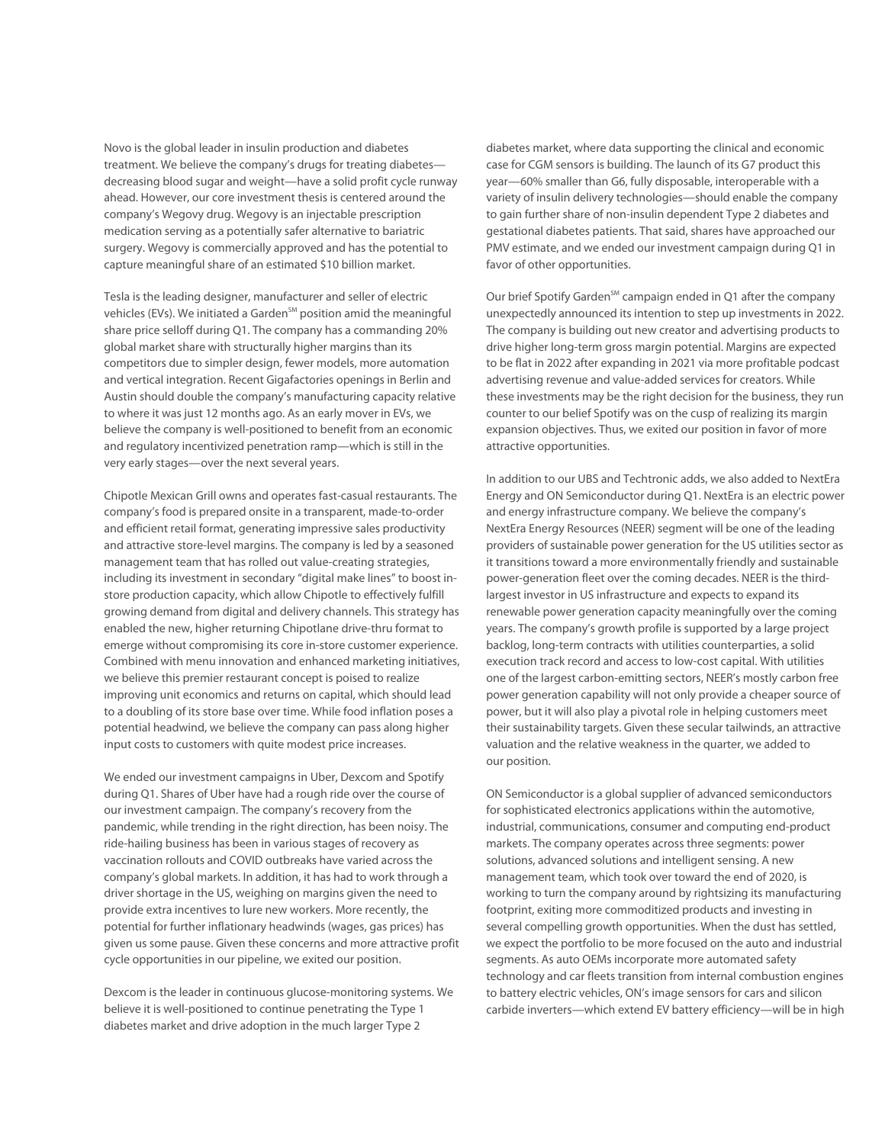Novo is the global leader in insulin production and diabetes treatment. We believe the company's drugs for treating diabetes decreasing blood sugar and weight—have a solid profit cycle runway ahead. However, our core investment thesis is centered around the company's Wegovy drug. Wegovy is an injectable prescription medication serving as a potentially safer alternative to bariatric surgery. Wegovy is commercially approved and has the potential to capture meaningful share of an estimated \$10 billion market.

Tesla is the leading designer, manufacturer and seller of electric vehicles (EVs). We initiated a Garden<sup>SM</sup> position amid the meaningful share price selloff during Q1. The company has a commanding 20% global market share with structurally higher margins than its competitors due to simpler design, fewer models, more automation and vertical integration. Recent Gigafactories openings in Berlin and Austin should double the company's manufacturing capacity relative to where it was just 12 months ago. As an early mover in EVs, we believe the company is well-positioned to benefit from an economic and regulatory incentivized penetration ramp—which is still in the very early stages—over the next several years.

Chipotle Mexican Grill owns and operates fast-casual restaurants. The company's food is prepared onsite in a transparent, made-to-order and efficient retail format, generating impressive sales productivity and attractive store-level margins. The company is led by a seasoned management team that has rolled out value-creating strategies, including its investment in secondary "digital make lines" to boost instore production capacity, which allow Chipotle to effectively fulfill growing demand from digital and delivery channels. This strategy has enabled the new, higher returning Chipotlane drive-thru format to emerge without compromising its core in-store customer experience. Combined with menu innovation and enhanced marketing initiatives, we believe this premier restaurant concept is poised to realize improving unit economics and returns on capital, which should lead to a doubling of its store base over time. While food inflation poses a potential headwind, we believe the company can pass along higher input costs to customers with quite modest price increases.

We ended our investment campaigns in Uber, Dexcom and Spotify during Q1. Shares of Uber have had a rough ride over the course of our investment campaign. The company's recovery from the pandemic, while trending in the right direction, has been noisy. The ride-hailing business has been in various stages of recovery as vaccination rollouts and COVID outbreaks have varied across the company's global markets. In addition, it has had to work through a driver shortage in the US, weighing on margins given the need to provide extra incentives to lure new workers. More recently, the potential for further inflationary headwinds (wages, gas prices) has given us some pause. Given these concerns and more attractive profit cycle opportunities in our pipeline, we exited our position.

Dexcom is the leader in continuous glucose-monitoring systems. We believe it is well-positioned to continue penetrating the Type 1 diabetes market and drive adoption in the much larger Type 2

diabetes market, where data supporting the clinical and economic case for CGM sensors is building. The launch of its G7 product this year—60% smaller than G6, fully disposable, interoperable with a variety of insulin delivery technologies—should enable the company to gain further share of non-insulin dependent Type 2 diabetes and gestational diabetes patients. That said, shares have approached our PMV estimate, and we ended our investment campaign during Q1 in favor of other opportunities.

Our brief Spotify Garden<sup>SM</sup> campaign ended in Q1 after the company unexpectedly announced its intention to step up investments in 2022. The company is building out new creator and advertising products to drive higher long-term gross margin potential. Margins are expected to be flat in 2022 after expanding in 2021 via more profitable podcast advertising revenue and value-added services for creators. While these investments may be the right decision for the business, they run counter to our belief Spotify was on the cusp of realizing its margin expansion objectives. Thus, we exited our position in favor of more attractive opportunities.

In addition to our UBS and Techtronic adds, we also added to NextEra Energy and ON Semiconductor during Q1. NextEra is an electric power and energy infrastructure company. We believe the company's NextEra Energy Resources (NEER) segment will be one of the leading providers of sustainable power generation for the US utilities sector as it transitions toward a more environmentally friendly and sustainable power-generation fleet over the coming decades. NEER is the thirdlargest investor in US infrastructure and expects to expand its renewable power generation capacity meaningfully over the coming years. The company's growth profile is supported by a large project backlog, long-term contracts with utilities counterparties, a solid execution track record and access to low-cost capital. With utilities one of the largest carbon-emitting sectors, NEER's mostly carbon free power generation capability will not only provide a cheaper source of power, but it will also play a pivotal role in helping customers meet their sustainability targets. Given these secular tailwinds, an attractive valuation and the relative weakness in the quarter, we added to our position.

ON Semiconductor is a global supplier of advanced semiconductors for sophisticated electronics applications within the automotive, industrial, communications, consumer and computing end-product markets. The company operates across three segments: power solutions, advanced solutions and intelligent sensing. A new management team, which took over toward the end of 2020, is working to turn the company around by rightsizing its manufacturing footprint, exiting more commoditized products and investing in several compelling growth opportunities. When the dust has settled, we expect the portfolio to be more focused on the auto and industrial segments. As auto OEMs incorporate more automated safety technology and car fleets transition from internal combustion engines to battery electric vehicles, ON's image sensors for cars and silicon carbide inverters—which extend EV battery efficiency—will be in high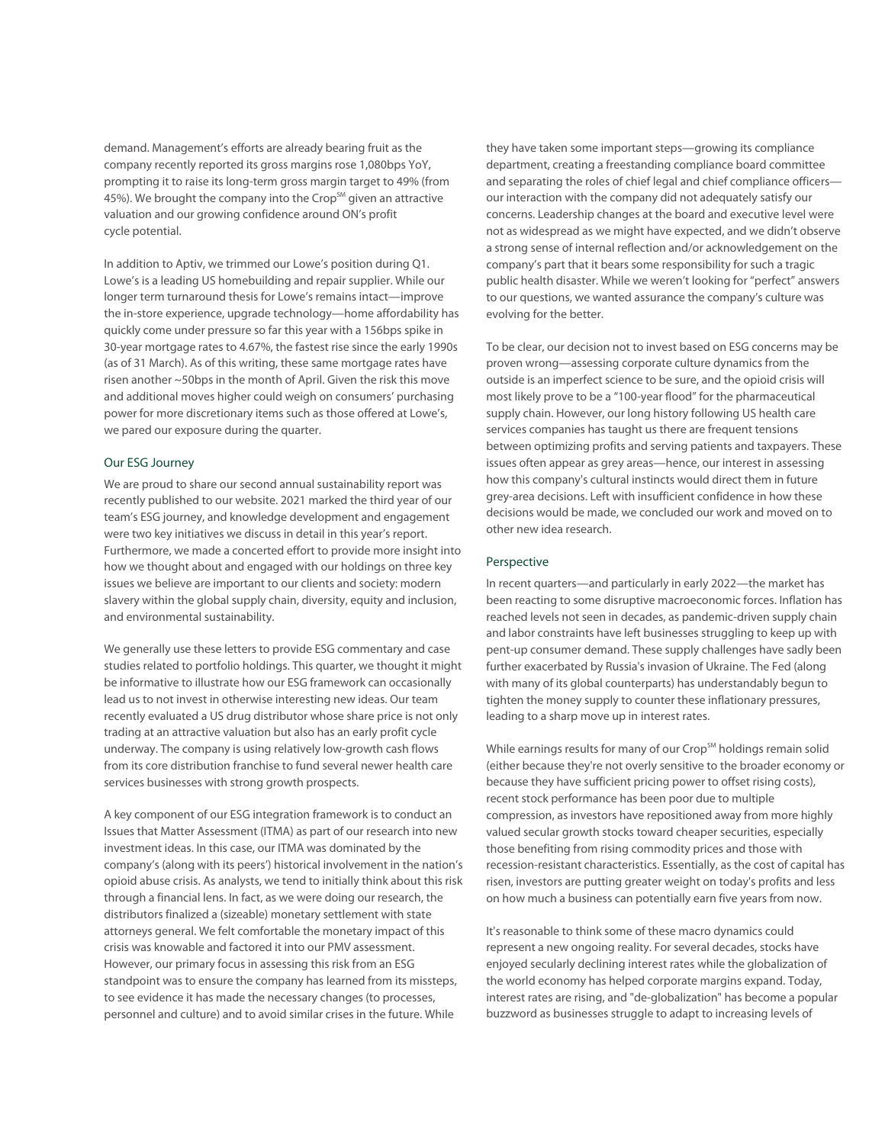demand. Management's efforts are already bearing fruit as the company recently reported its gross margins rose 1,080bps YoY, prompting it to raise its long-term gross margin target to 49% (from 45%). We brought the company into the Crop<sup>SM</sup> given an attractive valuation and our growing confidence around ON's profit cycle potential.

In addition to Aptiv, we trimmed our Lowe's position during Q1. Lowe's is a leading US homebuilding and repair supplier. While our longer term turnaround thesis for Lowe's remains intact—improve the in-store experience, upgrade technology—home affordability has quickly come under pressure so far this year with a 156bps spike in 30-year mortgage rates to 4.67%, the fastest rise since the early 1990s (as of 31 March). As of this writing, these same mortgage rates have risen another ~50bps in the month of April. Given the risk this move and additional moves higher could weigh on consumers' purchasing power for more discretionary items such as those offered at Lowe's, we pared our exposure during the quarter.

## Our ESG Journey

We are proud to share our second annual sustainability report was recently published to our website. 2021 marked the third year of our team's ESG journey, and knowledge development and engagement were two key initiatives we discuss in detail in this year's report. Furthermore, we made a concerted effort to provide more insight into how we thought about and engaged with our holdings on three key issues we believe are important to our clients and society: modern slavery within the global supply chain, diversity, equity and inclusion, and environmental sustainability.

We generally use these letters to provide ESG commentary and case studies related to portfolio holdings. This quarter, we thought it might be informative to illustrate how our ESG framework can occasionally lead us to not invest in otherwise interesting new ideas. Our team recently evaluated a US drug distributor whose share price is not only trading at an attractive valuation but also has an early profit cycle underway. The company is using relatively low-growth cash flows from its core distribution franchise to fund several newer health care services businesses with strong growth prospects.

A key component of our ESG integration framework is to conduct an Issues that Matter Assessment (ITMA) as part of our research into new investment ideas. In this case, our ITMA was dominated by the company's (along with its peers') historical involvement in the nation's opioid abuse crisis. As analysts, we tend to initially think about this risk through a financial lens. In fact, as we were doing our research, the distributors finalized a (sizeable) monetary settlement with state attorneys general. We felt comfortable the monetary impact of this crisis was knowable and factored it into our PMV assessment. However, our primary focus in assessing this risk from an ESG standpoint was to ensure the company has learned from its missteps, to see evidence it has made the necessary changes (to processes, personnel and culture) and to avoid similar crises in the future. While

they have taken some important steps—growing its compliance department, creating a freestanding compliance board committee and separating the roles of chief legal and chief compliance officers our interaction with the company did not adequately satisfy our concerns. Leadership changes at the board and executive level were not as widespread as we might have expected, and we didn't observe a strong sense of internal reflection and/or acknowledgement on the company's part that it bears some responsibility for such a tragic public health disaster. While we weren't looking for "perfect" answers to our questions, we wanted assurance the company's culture was evolving for the better.

To be clear, our decision not to invest based on ESG concerns may be proven wrong—assessing corporate culture dynamics from the outside is an imperfect science to be sure, and the opioid crisis will most likely prove to be a "100-year flood" for the pharmaceutical supply chain. However, our long history following US health care services companies has taught us there are frequent tensions between optimizing profits and serving patients and taxpayers. These issues often appear as grey areas—hence, our interest in assessing how this company's cultural instincts would direct them in future grey-area decisions. Left with insufficient confidence in how these decisions would be made, we concluded our work and moved on to other new idea research.

# Perspective

In recent quarters—and particularly in early 2022—the market has been reacting to some disruptive macroeconomic forces. Inflation has reached levels not seen in decades, as pandemic-driven supply chain and labor constraints have left businesses struggling to keep up with pent-up consumer demand. These supply challenges have sadly been further exacerbated by Russia's invasion of Ukraine. The Fed (along with many of its global counterparts) has understandably begun to tighten the money supply to counter these inflationary pressures, leading to a sharp move up in interest rates.

While earnings results for many of our Crop<sup>SM</sup> holdings remain solid (either because they're not overly sensitive to the broader economy or because they have sufficient pricing power to offset rising costs), recent stock performance has been poor due to multiple compression, as investors have repositioned away from more highly valued secular growth stocks toward cheaper securities, especially those benefiting from rising commodity prices and those with recession-resistant characteristics. Essentially, as the cost of capital has risen, investors are putting greater weight on today's profits and less on how much a business can potentially earn five years from now.

It's reasonable to think some of these macro dynamics could represent a new ongoing reality. For several decades, stocks have enjoyed secularly declining interest rates while the globalization of the world economy has helped corporate margins expand. Today, interest rates are rising, and "de-globalization" has become a popular buzzword as businesses struggle to adapt to increasing levels of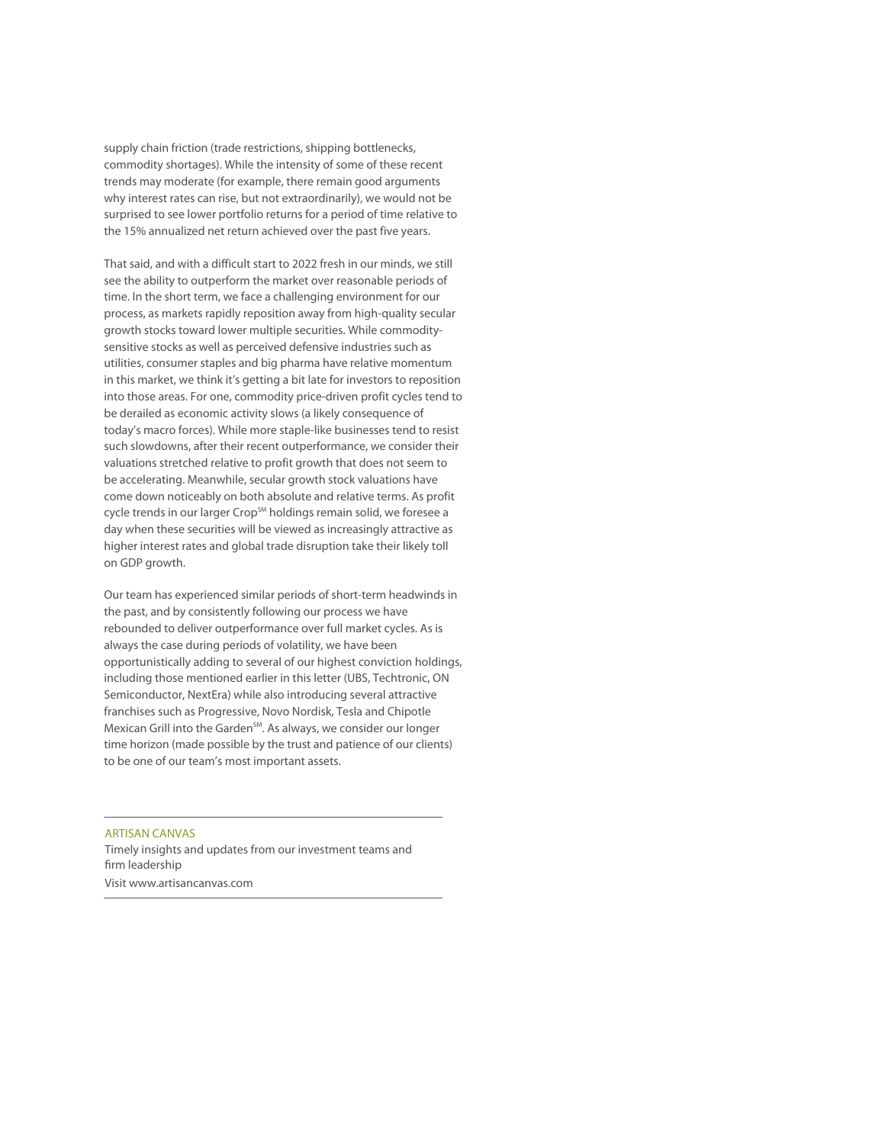supply chain friction (trade restrictions, shipping bottlenecks, commodity shortages). While the intensity of some of these recent trends may moderate (for example, there remain good arguments why interest rates can rise, but not extraordinarily), we would not be surprised to see lower portfolio returns for a period of time relative to the 15% annualized net return achieved over the past five years.

That said, and with a difficult start to 2022 fresh in our minds, we still see the ability to outperform the market over reasonable periods of time. In the short term, we face a challenging environment for our process, as markets rapidly reposition away from high-quality secular growth stocks toward lower multiple securities. While commoditysensitive stocks as well as perceived defensive industries such as utilities, consumer staples and big pharma have relative momentum in this market, we think it's getting a bit late for investors to reposition into those areas. For one, commodity price-driven profit cycles tend to be derailed as economic activity slows (a likely consequence of today's macro forces). While more staple-like businesses tend to resist such slowdowns, after their recent outperformance, we consider their valuations stretched relative to profit growth that does not seem to be accelerating. Meanwhile, secular growth stock valuations have come down noticeably on both absolute and relative terms. As profit cycle trends in our larger Crop<sup>SM</sup> holdings remain solid, we foresee a day when these securities will be viewed as increasingly attractive as higher interest rates and global trade disruption take their likely toll on GDP growth.

Our team has experienced similar periods of short-term headwinds in the past, and by consistently following our process we have rebounded to deliver outperformance over full market cycles. As is always the case during periods of volatility, we have been opportunistically adding to several of our highest conviction holdings, including those mentioned earlier in this letter (UBS, Techtronic, ON Semiconductor, NextEra) while also introducing several attractive franchises such as Progressive, Novo Nordisk, Tesla and Chipotle Mexican Grill into the Garden $^{5M}$ . As always, we consider our longer time horizon (made possible by the trust and patience of our clients) to be one of our team's most important assets.

ARTISAN CANVAS Timely insights and updates from our investment teams and firm leadership Visit www.artisancanvas.com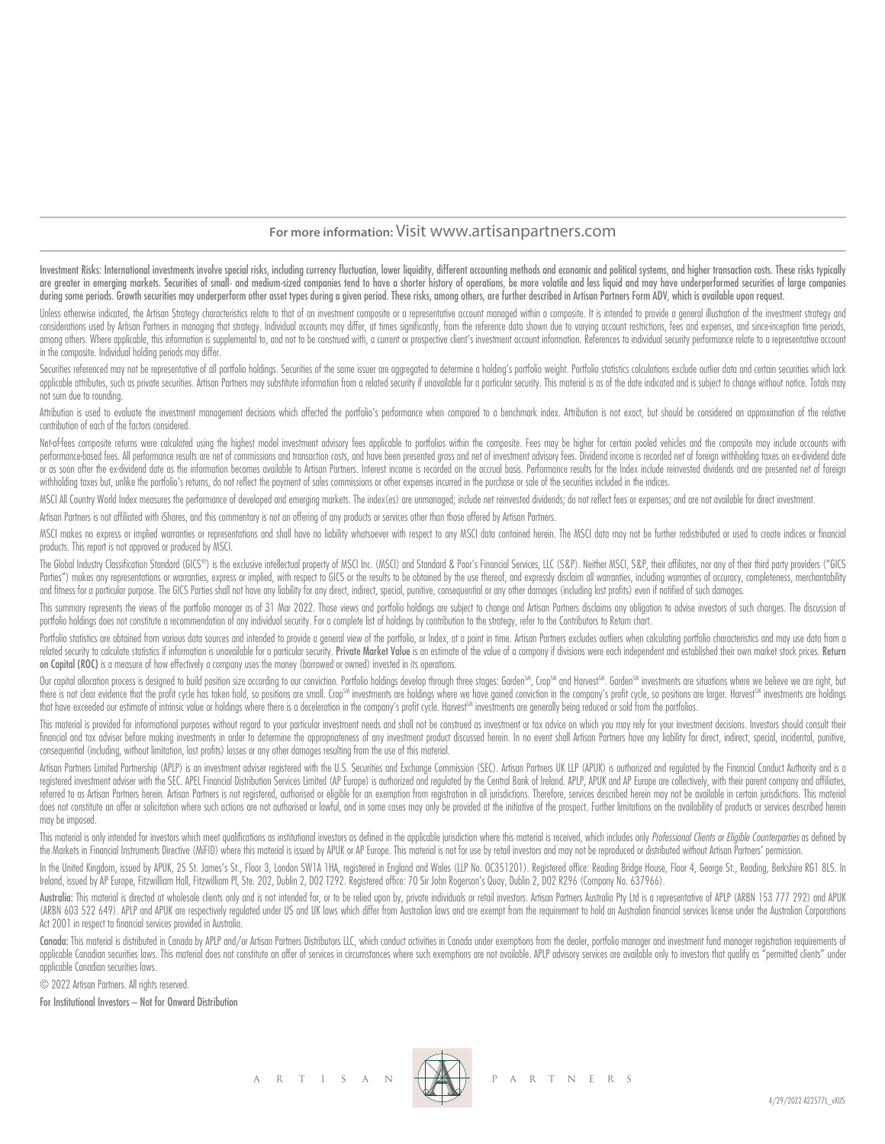# **For more information:** Visit www.artisanpartners.com

Investment Risks: International investments involve special risks, including currency fluctuation, lower liquidity, different accounting methods and economic and political systems, and higher transaction costs. These risks are greater in emerging markets. Securities of small- and medium-sized companies tend to have a shorter history of operations, be more volatile and less liquid and may have underperformed securities of large companies during some periods. Growth securities may underperform other asset types during a given period. These risks, among others, are further described in Artisan Partners Form ADV, which is available upon request.

Unless otherwise indicated, the Artisan Strateav characteristics relate to that of an investment composite or a representative account mangaed within a composite. It is intended to provide a general illustration of the inv considerations used by Artisan Partners in managing that strategy. Individual accounts may differ, at times significantly, from the reference data shown due to varying account restrictions, fees and expenses, and since-inc among others. Where applicable, this information is supplemental to, and not to be construed with, a current or prospective client's investment account information. References to individual security performance relate to a in the composite. Individual holding periods may differ.

Securities referenced may not be representative of all portfolio holdings. Securities of the same issuer are aggregated to determine a holding's portfolio weight. Portfolio statistics calculations exclude outlier data and applicable attributes, such as private securities. Artisan Partners may substitute information from a related security if unavailable for a particular security. This material is as of the date indicated and is subject to c not sum due to rounding.

Attribution is used to evaluate the investment management decisions which affected the portfolio's performance when compared to a benchmark index. Attribution is not exact, but should be considered an approximation of the contribution of each of the factors considered.

Net-of-fees composite returns were calculated using the highest model investment advisory fees applicable to portfolios within the composite. Fees may be higher for certain pooled vehicles and the composite may include acc performance based fees. All performance results are net of commissions and transaction costs, and have been presented gross and net of investment advisory fees. Dividend income is recorded net of foreign withholding taxes or as soon after the ex-dividend date as the information becomes available to Artisan Partners. Interest income is recorded on the accrual basis. Performance results for the Index include reinvested dividends and are prese withholding taxes but, unlike the portfolio's returns, do not reflect the payment of sales commissions or other expenses incurred in the purchase or sale of the securities included in the indices.

MSCI All Country World Index measures the performance of developed and emerging markets. The index(es) are unmanaged; include net reinvested dividends; do not reflect fees or expenses; and are not available for direct inve

Artisan Partners is not affiliated with iShares, and this commentary is not an offering of any products or services other than those offered by Artisan Partners.

MSCI makes no express or implied warranties or representations and shall have no liability whatsoever with respect to any MSCI data contained herein. The MSCI data may not be further redistributed or used to create indices products. This report is not approved or produced by MSCI.

The Global Industry Classification Standard (GICS®) is the exclusive intellectual property of MSCI Inc. (MSCI) and Standard & Poor's Financial Services, LLC (S&P). Neither MSCI, S&P, their affiliates, nor any of their thir Parties") makes any representations or warranties, express or implied, with respect to GICS or the results to be obtained by the use thereof, and expressly disclaim all warranties, including warranties of accuracy, complet and fitness for a particular purpose. The GICS Parties shall not have any liability for any direct, indirect, special, punitive, consequential or any other damages (including lost profits) even if notified of such damages.

This summary represents the views of the portfolio manager as of 31 Mar 2022. Those views and portfolio holdings are subject to change and Artisan Partners disclaims any obligation to advise investors of such changes. The portfolio holdings does not constitute a recommendation of any individual security. For a complete list of holdings by contribution to the strategy, refer to the Contributors to Return chart.

Portfolio statistics are obtained from various data sources and intended to provide a general view of the portfolio, or Index, at a point in time. Artisan Partners excludes outliers when calculating portfolio characteristi related security to calculate statistics if information is unavailable for a particular security. Private Market Value is an estimate of the value of a company if divisions were each independent and established their own m on Capital (ROC) is a measure of how effectively a company uses the money (borrowed or owned) invested in its operations.

Our capital allocation process is designed to build position size according to our conviction. Portfolio holdings develop through three stages: Garden<sup>SM</sup>, Crop<sup>SM</sup> and Harvest<sup>SM</sup>. Garden<sup>SM</sup> investments are situations wh there is not clear evidence that the profit cycle has taken hold, so positions are small. Crop<sup>sm</sup> investments are holdings where we have gained conviction in the company's profit cycle, so positions are larger. Harvest<sup>sm</sup> that have exceeded our estimate of intrinsic value or holdings where there is a deceleration in the company's profit cycle. Harvest™ investments are generally being reduced or sold from the portfolios.

This material is provided for informational purposes without regard to your particular investment needs and shall not be construed as investment or tax advice on which you may rely for your investment decisions. Investors financial and tax adviser before making investments in order to determine the appropriateness of any investment product discussed herein. In no event shall Artisan Partners have any liability for direct, indirect, special, consequential (including, without limitation, lost profits) losses or any other damages resulting from the use of this material.

Artisan Partners Limited Partnership (APLP) is an investment adviser registered with the U.S. Securities and Exchange Commission (SEC). Artisan Partners UK LLP (APUK) is authorized and regulated by the Financial Conduct Au registered investment adviser with the SEC. APEL Financial Distribution Services Limited (AP Europe) is authorized and regulated by the Central Bank of Ireland. APLP, APUK and AP Europe are collectively, with their parent referred to as Artisan Partners herein. Artisan Partners is not registered, authorised or eligible for an exemption from registration in all jurisdictions. Therefore, services described herein may not be available in certa does not constitute an offer or solicitation where such actions are not authorised or lawful, and in some cases may only be provided at the initiative of the prospect. Further limitations on the availability of products or may be imposed.

This material is only intended for investors which meet qualifications as institutional investors as defined in the applicable jurisdiction where this material is received, which includes only Professional Clients or Eligi the Markets in Financial Instruments Directive (MiFID) where this material is issued by APUK or AP Europe. This material is not for use by retail investors and may not be reproduced or distributed without Artisan Partners'

In the United Kingdom, issued by APUK, 25 St. James's St., Floor 3, London SW1A 1HA, registered in England and Wales (LLP No. OC351201). Registered office: Reading Bridge House, Floor 4, George St., Reading, Berkshire RG1 Ireland, issued by AP Europe, Fitzwilliam Hall, Fitzwilliam Pl, Ste. 202, Dublin 2, D02 T292. Registered office: 70 Sir John Rogerson's Quay, Dublin 2, D02 R296 (Company No. 637966).

Australia: This material is directed at wholesale clients only and is not intended for, or to be relied upon by, private individuals or retail investors. Artisan Partnes Australia Pty Ltd is a representative of APLP (ARBN (ARBN 603 522 649). APLP and APUK are respectively regulated under US and UK laws which differ from Australian laws and are exempt from the requirement to hold an Australian financial services license under the Australian Act 2001 in respect to financial services provided in Australia.

Canada: This material is distributed in Canada by APLP and/or Artisan Partners Distributors LLC, which conduct activities in Canada under exemptions from the dealer, portfolio manager and investment fund manager registrati applicable Canadian securities laws. This material does not constitute an offer of services in circumstances where such exemptions are not available. APLP advisory services are available only to investors that quality as " applicable Canadian securities laws.

© 2022 Artisan Partners. All rights reserved.

For Institutional Investors – Not for Onward Distribution